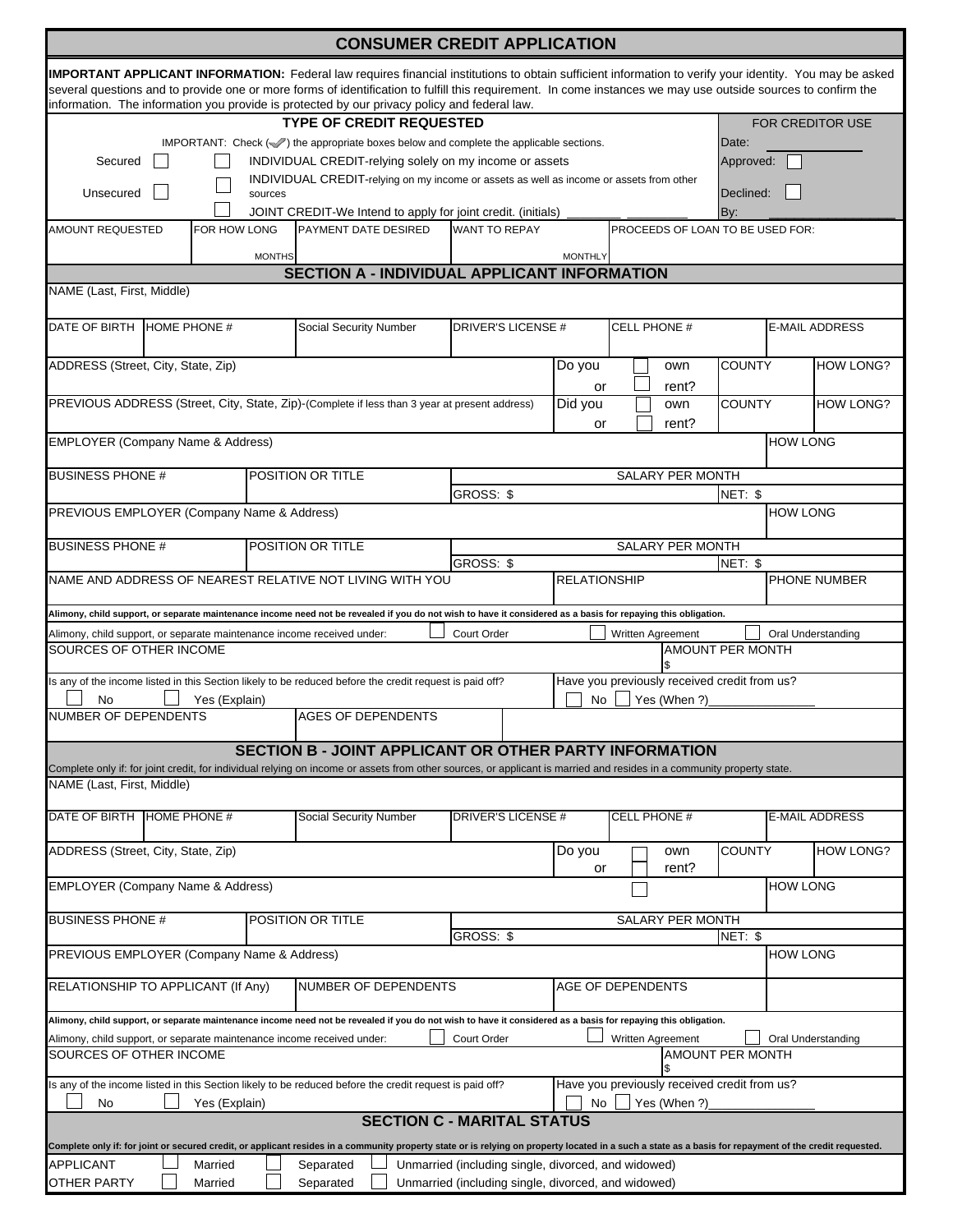|                                                                                                                                                                                       |              |                    |                                                                                                    | <b>CONSUMER CREDIT APPLICATION</b>                                                                                                                                                                                                                            |                                                                                                            |                                                                    |                                                              |                         |                       |                         |  |  |
|---------------------------------------------------------------------------------------------------------------------------------------------------------------------------------------|--------------|--------------------|----------------------------------------------------------------------------------------------------|---------------------------------------------------------------------------------------------------------------------------------------------------------------------------------------------------------------------------------------------------------------|------------------------------------------------------------------------------------------------------------|--------------------------------------------------------------------|--------------------------------------------------------------|-------------------------|-----------------------|-------------------------|--|--|
|                                                                                                                                                                                       |              |                    |                                                                                                    | <b>IMPORTANT APPLICANT INFORMATION:</b> Federal law requires financial institutions to obtain sufficient information to verify your identity. You may be asked                                                                                                |                                                                                                            |                                                                    |                                                              |                         |                       |                         |  |  |
|                                                                                                                                                                                       |              |                    |                                                                                                    | several questions and to provide one or more forms of identification to fulfill this requirement. In come instances we may use outside sources to confirm the<br>information. The information you provide is protected by our privacy policy and federal law. |                                                                                                            |                                                                    |                                                              |                         |                       |                         |  |  |
|                                                                                                                                                                                       |              |                    |                                                                                                    | <b>TYPE OF CREDIT REQUESTED</b>                                                                                                                                                                                                                               |                                                                                                            |                                                                    |                                                              |                         |                       | <b>FOR CREDITOR USE</b> |  |  |
|                                                                                                                                                                                       |              |                    |                                                                                                    |                                                                                                                                                                                                                                                               |                                                                                                            |                                                                    |                                                              |                         | Date:                 |                         |  |  |
| IMPORTANT: Check $(\mathcal{S})$ the appropriate boxes below and complete the applicable sections.<br>Secured<br>INDIVIDUAL CREDIT-relying solely on my income or assets<br>Approved: |              |                    |                                                                                                    |                                                                                                                                                                                                                                                               |                                                                                                            |                                                                    |                                                              |                         |                       |                         |  |  |
|                                                                                                                                                                                       |              |                    |                                                                                                    |                                                                                                                                                                                                                                                               |                                                                                                            |                                                                    |                                                              |                         |                       |                         |  |  |
| Unsecured                                                                                                                                                                             |              |                    | INDIVIDUAL CREDIT-relying on my income or assets as well as income or assets from other<br>sources |                                                                                                                                                                                                                                                               |                                                                                                            |                                                                    |                                                              | Declined:               |                       |                         |  |  |
|                                                                                                                                                                                       |              |                    |                                                                                                    | JOINT CREDIT-We Intend to apply for joint credit. (initials)                                                                                                                                                                                                  |                                                                                                            |                                                                    |                                                              |                         | By:                   |                         |  |  |
| AMOUNT REQUESTED                                                                                                                                                                      |              | FOR HOW LONG       |                                                                                                    | <b>PAYMENT DATE DESIRED</b>                                                                                                                                                                                                                                   | <b>WANT TO REPAY</b>                                                                                       |                                                                    | PROCEEDS OF LOAN TO BE USED FOR:                             |                         |                       |                         |  |  |
|                                                                                                                                                                                       |              |                    | <b>MONTHS</b>                                                                                      | <b>SECTION A - INDIVIDUAL APPLICANT INFORMATION</b>                                                                                                                                                                                                           |                                                                                                            | <b>MONTHLY</b>                                                     |                                                              |                         |                       |                         |  |  |
| NAME (Last, First, Middle)                                                                                                                                                            |              |                    |                                                                                                    |                                                                                                                                                                                                                                                               |                                                                                                            |                                                                    |                                                              |                         |                       |                         |  |  |
|                                                                                                                                                                                       |              |                    |                                                                                                    |                                                                                                                                                                                                                                                               |                                                                                                            |                                                                    |                                                              |                         |                       |                         |  |  |
| DATE OF BIRTH                                                                                                                                                                         | HOME PHONE # |                    |                                                                                                    | <b>Social Security Number</b>                                                                                                                                                                                                                                 | DRIVER'S LICENSE #                                                                                         |                                                                    | <b>CELL PHONE #</b>                                          |                         | <b>E-MAIL ADDRESS</b> |                         |  |  |
| ADDRESS (Street, City, State, Zip)                                                                                                                                                    |              |                    |                                                                                                    |                                                                                                                                                                                                                                                               |                                                                                                            | Do you                                                             | own                                                          | <b>COUNTY</b>           |                       | <b>HOW LONG?</b>        |  |  |
| PREVIOUS ADDRESS (Street, City, State, Zip)-(Complete if less than 3 year at present address)                                                                                         |              |                    |                                                                                                    |                                                                                                                                                                                                                                                               |                                                                                                            | or<br>Did you                                                      | rent?<br>own                                                 | <b>COUNTY</b>           |                       | <b>HOW LONG?</b>        |  |  |
| <b>EMPLOYER (Company Name &amp; Address)</b>                                                                                                                                          |              |                    |                                                                                                    |                                                                                                                                                                                                                                                               |                                                                                                            | or                                                                 | rent?                                                        |                         | <b>HOW LONG</b>       |                         |  |  |
| <b>BUSINESS PHONE #</b><br>POSITION OR TITLE                                                                                                                                          |              |                    |                                                                                                    |                                                                                                                                                                                                                                                               |                                                                                                            |                                                                    |                                                              |                         |                       |                         |  |  |
|                                                                                                                                                                                       |              |                    |                                                                                                    |                                                                                                                                                                                                                                                               | <b>GROSS: \$</b>                                                                                           | SALARY PER MONTH<br>NET: \$                                        |                                                              |                         |                       |                         |  |  |
| PREVIOUS EMPLOYER (Company Name & Address)                                                                                                                                            |              |                    |                                                                                                    |                                                                                                                                                                                                                                                               |                                                                                                            |                                                                    |                                                              |                         | <b>HOW LONG</b>       |                         |  |  |
| <b>BUSINESS PHONE #</b>                                                                                                                                                               |              |                    |                                                                                                    | POSITION OR TITLE                                                                                                                                                                                                                                             |                                                                                                            |                                                                    | <b>SALARY PER MONTH</b>                                      |                         |                       |                         |  |  |
|                                                                                                                                                                                       |              |                    |                                                                                                    |                                                                                                                                                                                                                                                               | GROSS: \$                                                                                                  |                                                                    |                                                              | NET: \$                 |                       |                         |  |  |
|                                                                                                                                                                                       |              |                    |                                                                                                    | NAME AND ADDRESS OF NEAREST RELATIVE NOT LIVING WITH YOU                                                                                                                                                                                                      |                                                                                                            | <b>RELATIONSHIP</b>                                                |                                                              |                         |                       | <b>PHONE NUMBER</b>     |  |  |
|                                                                                                                                                                                       |              |                    |                                                                                                    | Alimony, child support, or separate maintenance income need not be revealed if you do not wish to have it considered as a basis for repaying this obligation.                                                                                                 |                                                                                                            |                                                                    |                                                              |                         |                       |                         |  |  |
| Alimony, child support, or separate maintenance income received under:<br>SOURCES OF OTHER INCOME                                                                                     |              |                    |                                                                                                    |                                                                                                                                                                                                                                                               | Court Order                                                                                                |                                                                    | Written Agreement                                            | <b>AMOUNT PER MONTH</b> |                       | Oral Understanding      |  |  |
| No                                                                                                                                                                                    |              | Yes (Explain)      |                                                                                                    | Is any of the income listed in this Section likely to be reduced before the credit request is paid off?                                                                                                                                                       |                                                                                                            | No.                                                                | Have you previously received credit from us?<br>Yes (When ?) |                         |                       |                         |  |  |
| NUMBER OF DEPENDENTS                                                                                                                                                                  |              |                    |                                                                                                    | <b>AGES OF DEPENDENTS</b>                                                                                                                                                                                                                                     |                                                                                                            |                                                                    |                                                              |                         |                       |                         |  |  |
|                                                                                                                                                                                       |              |                    |                                                                                                    | <b>SECTION B - JOINT APPLICANT OR OTHER PARTY INFORMATION</b><br>Complete only if: for joint credit, for individual relying on income or assets from other sources, or applicant is married and resides in a community property state.                        |                                                                                                            |                                                                    |                                                              |                         |                       |                         |  |  |
| NAME (Last, First, Middle)                                                                                                                                                            |              |                    |                                                                                                    |                                                                                                                                                                                                                                                               |                                                                                                            |                                                                    |                                                              |                         |                       |                         |  |  |
| DATE OF BIRTH HOME PHONE #                                                                                                                                                            |              |                    |                                                                                                    | Social Security Number                                                                                                                                                                                                                                        | <b>DRIVER'S LICENSE#</b>                                                                                   |                                                                    | <b>CELL PHONE #</b>                                          |                         |                       | E-MAIL ADDRESS          |  |  |
| ADDRESS (Street, City, State, Zip)                                                                                                                                                    |              |                    |                                                                                                    |                                                                                                                                                                                                                                                               |                                                                                                            | Do you<br>or                                                       | own<br>rent?                                                 | <b>COUNTY</b>           |                       | <b>HOW LONG?</b>        |  |  |
| <b>EMPLOYER (Company Name &amp; Address)</b>                                                                                                                                          |              |                    |                                                                                                    |                                                                                                                                                                                                                                                               |                                                                                                            |                                                                    |                                                              |                         | <b>HOW LONG</b>       |                         |  |  |
| <b>BUSINESS PHONE #</b>                                                                                                                                                               |              |                    |                                                                                                    | POSITION OR TITLE                                                                                                                                                                                                                                             |                                                                                                            |                                                                    | SALARY PER MONTH                                             |                         |                       |                         |  |  |
| PREVIOUS EMPLOYER (Company Name & Address)                                                                                                                                            |              |                    |                                                                                                    |                                                                                                                                                                                                                                                               | GROSS: \$<br>NET: \$                                                                                       |                                                                    |                                                              |                         |                       | <b>HOW LONG</b>         |  |  |
| RELATIONSHIP TO APPLICANT (If Any)<br>NUMBER OF DEPENDENTS                                                                                                                            |              |                    |                                                                                                    |                                                                                                                                                                                                                                                               | AGE OF DEPENDENTS                                                                                          |                                                                    |                                                              |                         |                       |                         |  |  |
|                                                                                                                                                                                       |              |                    |                                                                                                    | Alimony, child support, or separate maintenance income need not be revealed if you do not wish to have it considered as a basis for repaying this obligation.                                                                                                 |                                                                                                            |                                                                    |                                                              |                         |                       |                         |  |  |
|                                                                                                                                                                                       |              |                    |                                                                                                    | Alimony, child support, or separate maintenance income received under:                                                                                                                                                                                        | Court Order                                                                                                |                                                                    | Written Agreement                                            |                         |                       | Oral Understanding      |  |  |
| SOURCES OF OTHER INCOME                                                                                                                                                               |              |                    |                                                                                                    |                                                                                                                                                                                                                                                               |                                                                                                            |                                                                    |                                                              | <b>AMOUNT PER MONTH</b> |                       |                         |  |  |
| No                                                                                                                                                                                    |              | Yes (Explain)      |                                                                                                    | Is any of the income listed in this Section likely to be reduced before the credit request is paid off?                                                                                                                                                       |                                                                                                            | Have you previously received credit from us?<br>Yes (When ?)<br>No |                                                              |                         |                       |                         |  |  |
|                                                                                                                                                                                       |              |                    |                                                                                                    | Complete only if: for joint or secured credit, or applicant resides in a community property state or is relying on property located in a such a state as a basis for repayment of the credit requested.                                                       | <b>SECTION C - MARITAL STATUS</b>                                                                          |                                                                    |                                                              |                         |                       |                         |  |  |
| APPLICANT<br><b>OTHER PARTY</b>                                                                                                                                                       |              | Married<br>Married |                                                                                                    | Separated<br>Separated                                                                                                                                                                                                                                        | Unmarried (including single, divorced, and widowed)<br>Unmarried (including single, divorced, and widowed) |                                                                    |                                                              |                         |                       |                         |  |  |